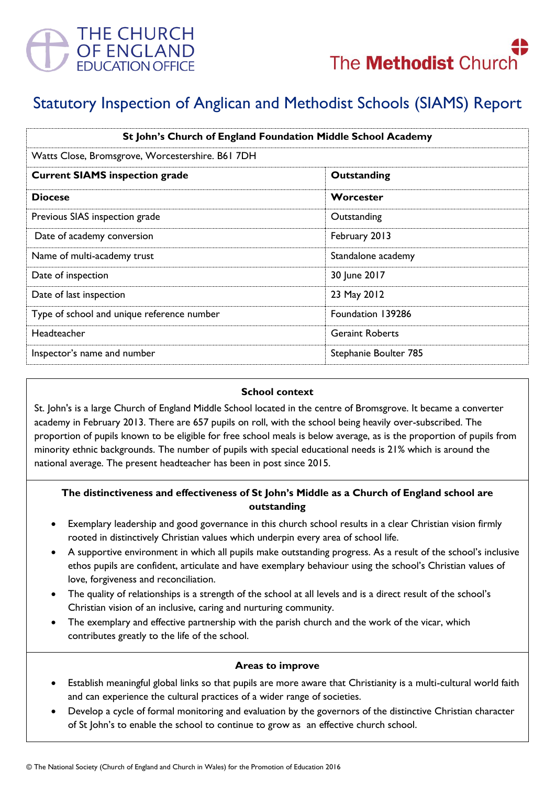



# Statutory Inspection of Anglican and Methodist Schools (SIAMS) Report

| St John's Church of England Foundation Middle School Academy |                        |
|--------------------------------------------------------------|------------------------|
| Watts Close, Bromsgrove, Worcestershire. B61 7DH             |                        |
| <b>Current SIAMS inspection grade</b>                        | Outstanding            |
| <b>Diocese</b>                                               | Worcester              |
| Previous SIAS inspection grade                               | Outstanding            |
| Date of academy conversion                                   | February 2013          |
| Name of multi-academy trust                                  | Standalone academy     |
| Date of inspection                                           | 30 June 2017           |
| Date of last inspection                                      | 23 May 2012            |
| Type of school and unique reference number                   | Foundation 139286      |
| Headteacher                                                  | <b>Geraint Roberts</b> |
| Inspector's name and number                                  | Stephanie Boulter 785  |

### **School context**

St. John's is a large Church of England Middle School located in the centre of Bromsgrove. It became a converter academy in February 2013. There are 657 pupils on roll, with the school being heavily over-subscribed. The proportion of pupils known to be eligible for free school meals is below average, as is the proportion of pupils from minority ethnic backgrounds. The number of pupils with special educational needs is 21% which is around the national average. The present headteacher has been in post since 2015.

# **The distinctiveness and effectiveness of St John's Middle as a Church of England school are outstanding**

- Exemplary leadership and good governance in this church school results in a clear Christian vision firmly rooted in distinctively Christian values which underpin every area of school life.
- A supportive environment in which all pupils make outstanding progress. As a result of the school's inclusive ethos pupils are confident, articulate and have exemplary behaviour using the school's Christian values of love, forgiveness and reconciliation.
- The quality of relationships is a strength of the school at all levels and is a direct result of the school's Christian vision of an inclusive, caring and nurturing community.
- The exemplary and effective partnership with the parish church and the work of the vicar, which contributes greatly to the life of the school.

#### **Areas to improve**

- Establish meaningful global links so that pupils are more aware that Christianity is a multi-cultural world faith and can experience the cultural practices of a wider range of societies.
- Develop a cycle of formal monitoring and evaluation by the governors of the distinctive Christian character of St John's to enable the school to continue to grow as an effective church school.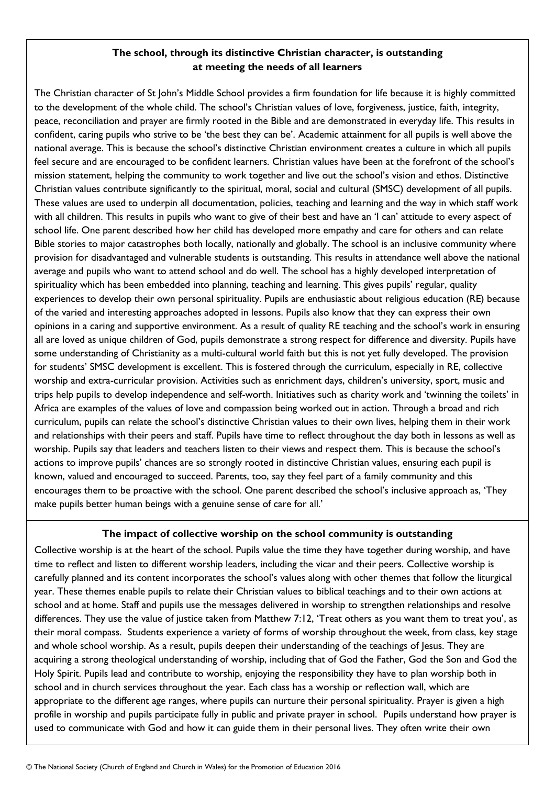## **The school, through its distinctive Christian character, is outstanding at meeting the needs of all learners**

The Christian character of St John's Middle School provides a firm foundation for life because it is highly committed to the development of the whole child. The school's Christian values of love, forgiveness, justice, faith, integrity, peace, reconciliation and prayer are firmly rooted in the Bible and are demonstrated in everyday life. This results in confident, caring pupils who strive to be 'the best they can be'. Academic attainment for all pupils is well above the national average. This is because the school's distinctive Christian environment creates a culture in which all pupils feel secure and are encouraged to be confident learners. Christian values have been at the forefront of the school's mission statement, helping the community to work together and live out the school's vision and ethos. Distinctive Christian values contribute significantly to the spiritual, moral, social and cultural (SMSC) development of all pupils. These values are used to underpin all documentation, policies, teaching and learning and the way in which staff work with all children. This results in pupils who want to give of their best and have an 'I can' attitude to every aspect of school life. One parent described how her child has developed more empathy and care for others and can relate Bible stories to major catastrophes both locally, nationally and globally. The school is an inclusive community where provision for disadvantaged and vulnerable students is outstanding. This results in attendance well above the national average and pupils who want to attend school and do well. The school has a highly developed interpretation of spirituality which has been embedded into planning, teaching and learning. This gives pupils' regular, quality experiences to develop their own personal spirituality. Pupils are enthusiastic about religious education (RE) because of the varied and interesting approaches adopted in lessons. Pupils also know that they can express their own opinions in a caring and supportive environment. As a result of quality RE teaching and the school's work in ensuring all are loved as unique children of God, pupils demonstrate a strong respect for difference and diversity. Pupils have some understanding of Christianity as a multi-cultural world faith but this is not yet fully developed. The provision for students' SMSC development is excellent. This is fostered through the curriculum, especially in RE, collective worship and extra-curricular provision. Activities such as enrichment days, children's university, sport, music and trips help pupils to develop independence and self-worth. Initiatives such as charity work and 'twinning the toilets' in Africa are examples of the values of love and compassion being worked out in action. Through a broad and rich curriculum, pupils can relate the school's distinctive Christian values to their own lives, helping them in their work and relationships with their peers and staff. Pupils have time to reflect throughout the day both in lessons as well as worship. Pupils say that leaders and teachers listen to their views and respect them. This is because the school's actions to improve pupils' chances are so strongly rooted in distinctive Christian values, ensuring each pupil is known, valued and encouraged to succeed. Parents, too, say they feel part of a family community and this encourages them to be proactive with the school. One parent described the school's inclusive approach as, 'They make pupils better human beings with a genuine sense of care for all.'

## **The impact of collective worship on the school community is outstanding**

Collective worship is at the heart of the school. Pupils value the time they have together during worship, and have time to reflect and listen to different worship leaders, including the vicar and their peers. Collective worship is carefully planned and its content incorporates the school's values along with other themes that follow the liturgical year. These themes enable pupils to relate their Christian values to biblical teachings and to their own actions at school and at home. Staff and pupils use the messages delivered in worship to strengthen relationships and resolve differences. They use the value of justice taken from Matthew 7:12, 'Treat others as you want them to treat you', as their moral compass. Students experience a variety of forms of worship throughout the week, from class, key stage and whole school worship. As a result, pupils deepen their understanding of the teachings of Jesus. They are acquiring a strong theological understanding of worship, including that of God the Father, God the Son and God the Holy Spirit. Pupils lead and contribute to worship, enjoying the responsibility they have to plan worship both in school and in church services throughout the year. Each class has a worship or reflection wall, which are appropriate to the different age ranges, where pupils can nurture their personal spirituality. Prayer is given a high profile in worship and pupils participate fully in public and private prayer in school. Pupils understand how prayer is used to communicate with God and how it can guide them in their personal lives. They often write their own